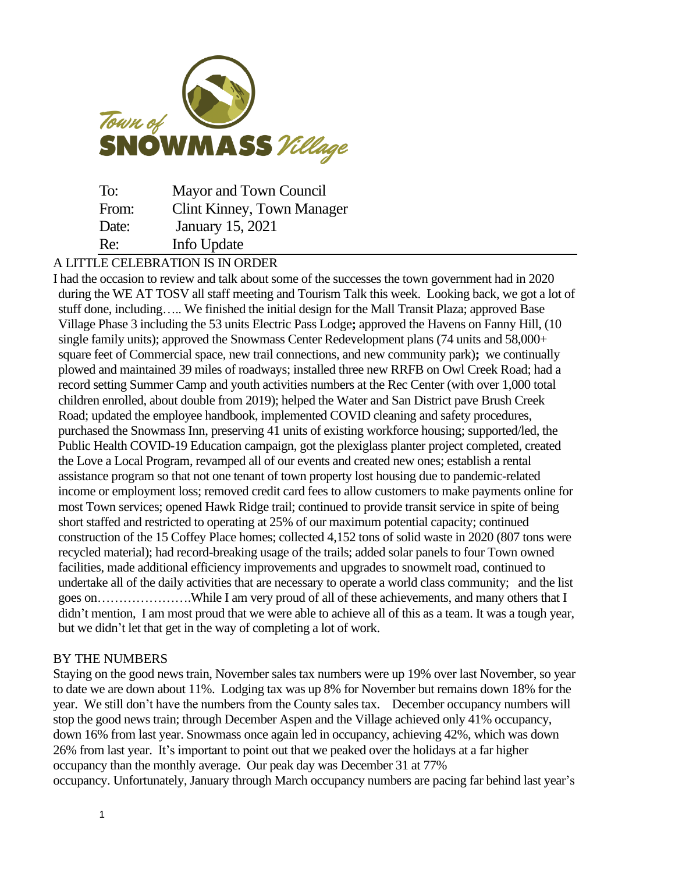

| To:   | Mayor and Town Council            |
|-------|-----------------------------------|
| From: | <b>Clint Kinney, Town Manager</b> |
| Date: | January 15, 2021                  |
| Re:   | Info Update                       |

## A LITTLE CELEBRATION IS IN ORDER

I had the occasion to review and talk about some of the successes the town government had in 2020 during the WE AT TOSV all staff meeting and Tourism Talk this week. Looking back, we got a lot of stuff done, including….. We finished the initial design for the Mall Transit Plaza; approved Base Village Phase 3 including the 53 units Electric Pass Lodge**;** approved the Havens on Fanny Hill, (10 single family units); approved the Snowmass Center Redevelopment plans (74 units and 58,000+ square feet of Commercial space, new trail connections, and new community park)**;** we continually plowed and maintained 39 miles of roadways; installed three new RRFB on Owl Creek Road; had a record setting Summer Camp and youth activities numbers at the Rec Center (with over 1,000 total children enrolled, about double from 2019); helped the Water and San District pave Brush Creek Road; updated the employee handbook, implemented COVID cleaning and safety procedures, purchased the Snowmass Inn, preserving 41 units of existing workforce housing; supported/led, the Public Health COVID-19 Education campaign, got the plexiglass planter project completed, created the Love a Local Program, revamped all of our events and created new ones; establish a rental assistance program so that not one tenant of town property lost housing due to pandemic-related income or employment loss; removed credit card fees to allow customers to make payments online for most Town services; opened Hawk Ridge trail; continued to provide transit service in spite of being short staffed and restricted to operating at 25% of our maximum potential capacity; continued construction of the 15 Coffey Place homes; collected 4,152 tons of solid waste in 2020 (807 tons were recycled material); had record-breaking usage of the trails; added solar panels to four Town owned facilities, made additional efficiency improvements and upgrades to snowmelt road, continued to undertake all of the daily activities that are necessary to operate a world class community; and the list goes on………………….While I am very proud of all of these achievements, and many others that I didn't mention, I am most proud that we were able to achieve all of this as a team. It was a tough year, but we didn't let that get in the way of completing a lot of work.

## BY THE NUMBERS

Staying on the good news train, November sales tax numbers were up 19% over last November, so year to date we are down about 11%. Lodging tax was up 8% for November but remains down 18% for the year. We still don't have the numbers from the County sales tax. December occupancy numbers will stop the good news train; through December Aspen and the Village achieved only 41% occupancy, down 16% from last year. Snowmass once again led in occupancy, achieving 42%, which was down 26% from last year. It's important to point out that we peaked over the holidays at a far higher occupancy than the monthly average. Our peak day was December 31 at 77% occupancy. Unfortunately, January through March occupancy numbers are pacing far behind last year's